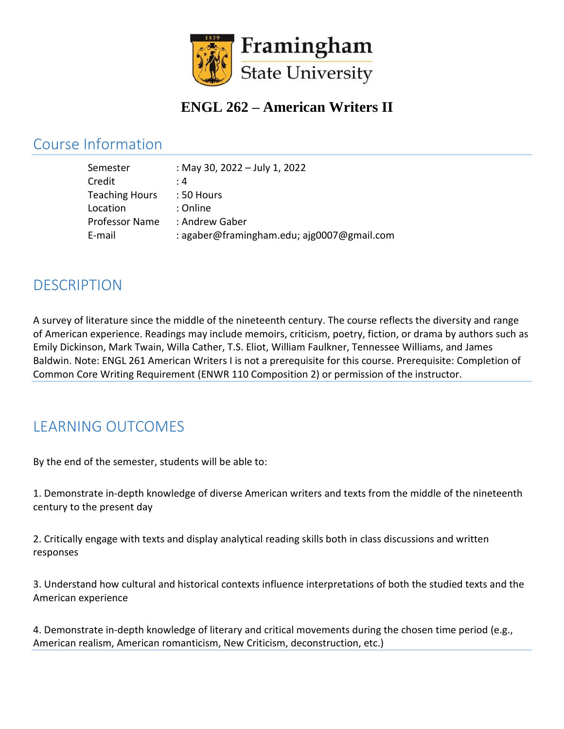

# **ENGL 262 – American Writers II**

#### Course Information

| Semester              | : May 30, 2022 - July 1, 2022              |
|-----------------------|--------------------------------------------|
| Credit                | : 4                                        |
| <b>Teaching Hours</b> | : 50 Hours                                 |
| Location              | : Online                                   |
| <b>Professor Name</b> | : Andrew Gaber                             |
| E-mail                | : agaber@framingham.edu; ajg0007@gmail.com |

#### **DESCRIPTION**

A survey of literature since the middle of the nineteenth century. The course reflects the diversity and range of American experience. Readings may include memoirs, criticism, poetry, fiction, or drama by authors such as Emily Dickinson, Mark Twain, Willa Cather, T.S. Eliot, William Faulkner, Tennessee Williams, and James Baldwin. Note: ENGL 261 American Writers I is not a prerequisite for this course. Prerequisite: Completion of Common Core Writing Requirement (ENWR 110 Composition 2) or permission of the instructor.

# LEARNING OUTCOMES

By the end of the semester, students will be able to:

1. Demonstrate in-depth knowledge of diverse American writers and texts from the middle of the nineteenth century to the present day

2. Critically engage with texts and display analytical reading skills both in class discussions and written responses

3. Understand how cultural and historical contexts influence interpretations of both the studied texts and the American experience

4. Demonstrate in-depth knowledge of literary and critical movements during the chosen time period (e.g., American realism, American romanticism, New Criticism, deconstruction, etc.)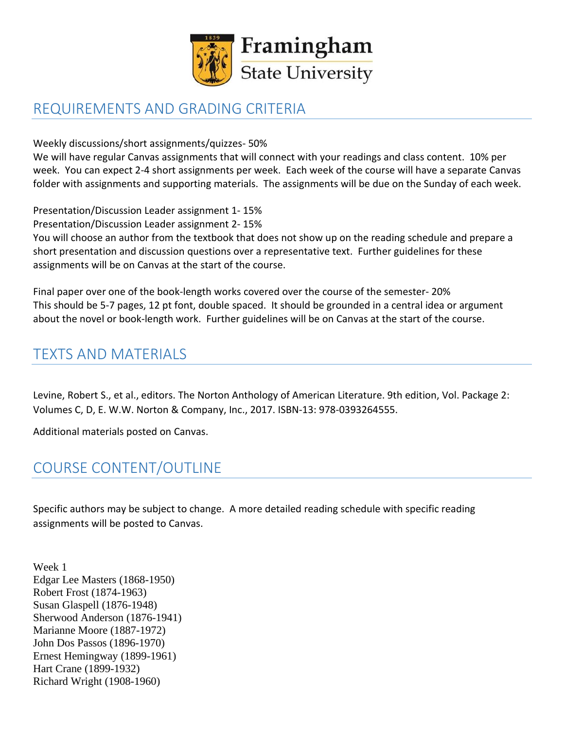

# REQUIREMENTS AND GRADING CRITERIA

Weekly discussions/short assignments/quizzes- 50%

We will have regular Canvas assignments that will connect with your readings and class content. 10% per week. You can expect 2-4 short assignments per week. Each week of the course will have a separate Canvas folder with assignments and supporting materials. The assignments will be due on the Sunday of each week.

Presentation/Discussion Leader assignment 1- 15%

Presentation/Discussion Leader assignment 2- 15%

You will choose an author from the textbook that does not show up on the reading schedule and prepare a short presentation and discussion questions over a representative text. Further guidelines for these assignments will be on Canvas at the start of the course.

Final paper over one of the book-length works covered over the course of the semester- 20% This should be 5-7 pages, 12 pt font, double spaced. It should be grounded in a central idea or argument about the novel or book-length work. Further guidelines will be on Canvas at the start of the course.

#### TEXTS AND MATERIALS

Levine, Robert S., et al., editors. The Norton Anthology of American Literature. 9th edition, Vol. Package 2: Volumes C, D, E. W.W. Norton & Company, Inc., 2017. ISBN-13: 978-0393264555.

Additional materials posted on Canvas.

## COURSE CONTENT/OUTLINE

Specific authors may be subject to change. A more detailed reading schedule with specific reading assignments will be posted to Canvas.

Week 1 Edgar Lee Masters (1868-1950) Robert Frost (1874-1963) Susan Glaspell (1876-1948) Sherwood Anderson (1876-1941) Marianne Moore (1887-1972) John Dos Passos (1896-1970) Ernest Hemingway (1899-1961) Hart Crane (1899-1932) Richard Wright (1908-1960)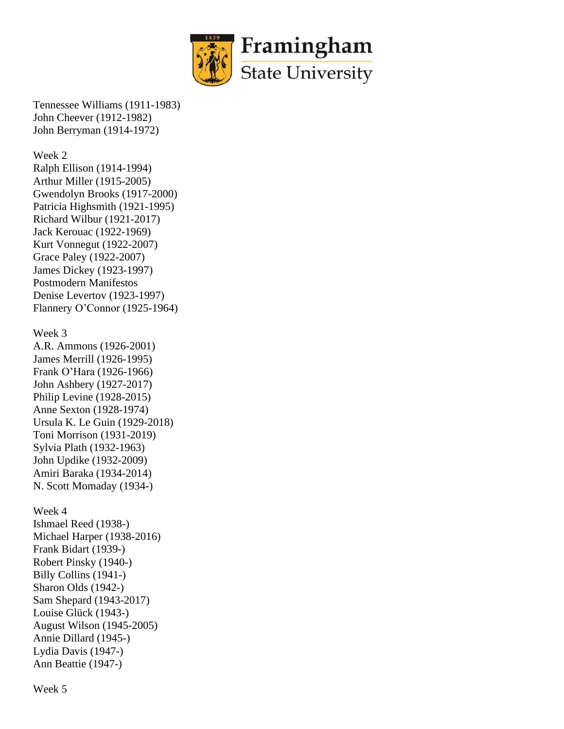

Tennessee Williams (1911-1983) John Cheever (1912-1982) John Berryman (1914-1972)

Week 2

Ralph Ellison (1914-1994) Arthur Miller (1915-2005) Gwendolyn Brooks (1917-2000) Patricia Highsmith (1921-1995) Richard Wilbur (1921-2017) Jack Kerouac (1922-1969) Kurt Vonnegut (1922-2007) Grace Paley (1922-2007) James Dickey (1923-1997) Postmodern Manifestos Denise Levertov (1923-1997) Flannery O'Connor (1925-1964)

Week 3

A.R. Ammons (1926-2001) James Merrill (1926-1995) Frank O'Hara (1926-1966) John Ashbery (1927-2017) Philip Levine (1928-2015) Anne Sexton (1928-1974) Ursula K. Le Guin (1929-2018) Toni Morrison (1931-2019) Sylvia Plath (1932-1963) John Updike (1932-2009) Amiri Baraka (1934-2014) N. Scott Momaday (1934-)

Week 4

Ishmael Reed (1938-) Michael Harper (1938-2016) Frank Bidart (1939-) Robert Pinsky (1940-) Billy Collins (1941-) Sharon Olds (1942-) Sam Shepard (1943-2017) Louise Glück (1943-) August Wilson (1945-2005) Annie Dillard (1945-) Lydia Davis (1947-) Ann Beattie (1947-)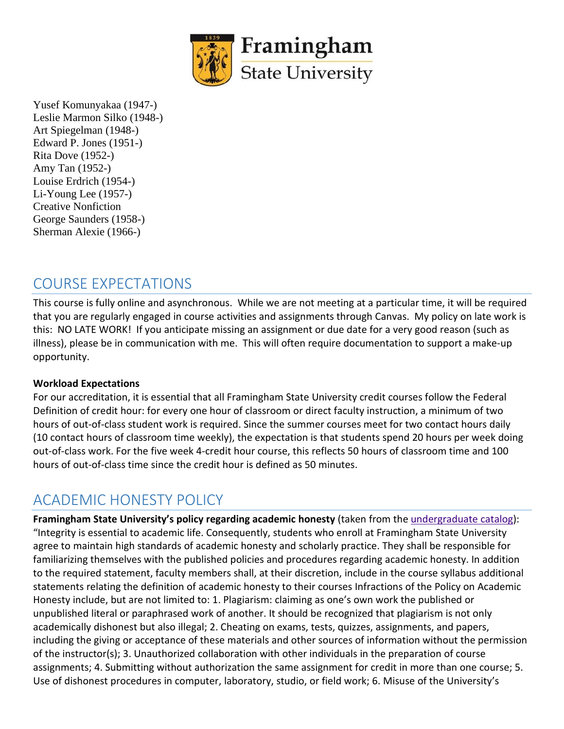

Yusef Komunyakaa (1947-) Leslie Marmon Silko (1948-) Art Spiegelman (1948-) Edward P. Jones (1951-) Rita Dove (1952-) Amy Tan (1952-) Louise Erdrich (1954-) Li-Young Lee (1957-) Creative Nonfiction George Saunders (1958-) Sherman Alexie (1966-)

#### COURSE EXPECTATIONS

This course is fully online and asynchronous. While we are not meeting at a particular time, it will be required that you are regularly engaged in course activities and assignments through Canvas. My policy on late work is this: NO LATE WORK! If you anticipate missing an assignment or due date for a very good reason (such as illness), please be in communication with me. This will often require documentation to support a make-up opportunity.

#### **Workload Expectations**

For our accreditation, it is essential that all Framingham State University credit courses follow the Federal Definition of credit hour: for every one hour of classroom or direct faculty instruction, a minimum of two hours of out-of-class student work is required. Since the summer courses meet for two contact hours daily (10 contact hours of classroom time weekly), the expectation is that students spend 20 hours per week doing out-of-class work. For the five week 4-credit hour course, this reflects 50 hours of classroom time and 100 hours of out-of-class time since the credit hour is defined as 50 minutes.

## ACADEMIC HONESTY POLICY

**Framingham State University's policy regarding academic honesty** (taken from the [undergraduate](https://www.framingham.edu/Assets/uploads/academics/catalogs/_documents/undergraduate-catalogs/2018-2019-undergraduate-catalog/undergraduate-catalog-2018-2019.pdf) catalog): "Integrity is essential to academic life. Consequently, students who enroll at Framingham State University agree to maintain high standards of academic honesty and scholarly practice. They shall be responsible for familiarizing themselves with the published policies and procedures regarding academic honesty. In addition to the required statement, faculty members shall, at their discretion, include in the course syllabus additional statements relating the definition of academic honesty to their courses Infractions of the Policy on Academic Honesty include, but are not limited to: 1. Plagiarism: claiming as one's own work the published or unpublished literal or paraphrased work of another. It should be recognized that plagiarism is not only academically dishonest but also illegal; 2. Cheating on exams, tests, quizzes, assignments, and papers, including the giving or acceptance of these materials and other sources of information without the permission of the instructor(s); 3. Unauthorized collaboration with other individuals in the preparation of course assignments; 4. Submitting without authorization the same assignment for credit in more than one course; 5. Use of dishonest procedures in computer, laboratory, studio, or field work; 6. Misuse of the University's